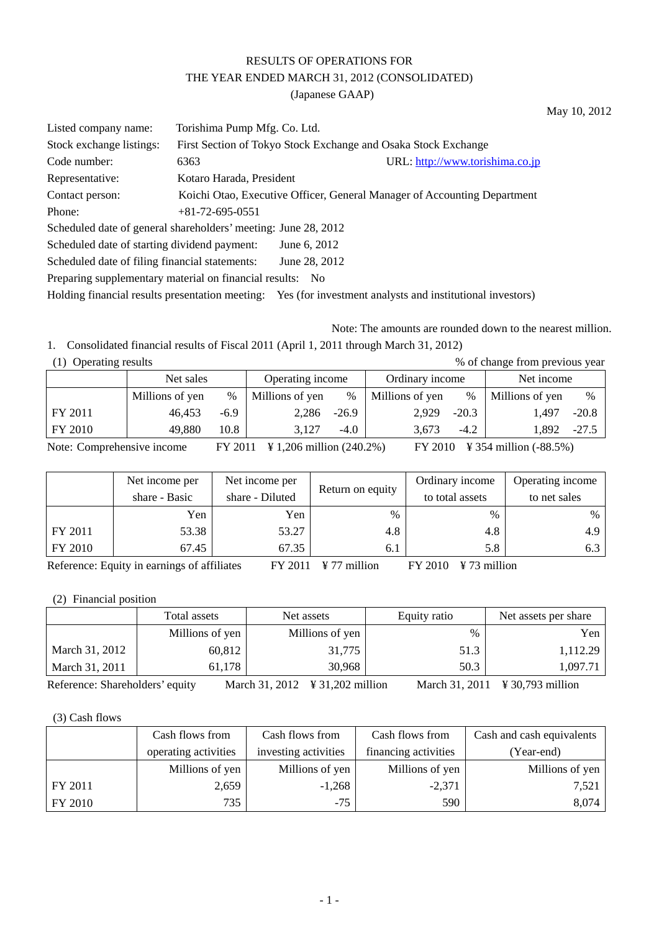# RESULTS OF OPERATIONS FOR THE YEAR ENDED MARCH 31, 2012 (CONSOLIDATED)

(Japanese GAAP)

| Listed company name:                                           | Torishima Pump Mfg. Co. Ltd. |                                                                |                                                                                                           |
|----------------------------------------------------------------|------------------------------|----------------------------------------------------------------|-----------------------------------------------------------------------------------------------------------|
| Stock exchange listings:                                       |                              | First Section of Tokyo Stock Exchange and Osaka Stock Exchange |                                                                                                           |
| Code number:                                                   | 6363                         |                                                                | URL: http://www.torishima.co.jp                                                                           |
| Representative:                                                | Kotaro Harada, President     |                                                                |                                                                                                           |
| Contact person:                                                |                              |                                                                | Koichi Otao, Executive Officer, General Manager of Accounting Department                                  |
| Phone:                                                         | $+81-72-695-0551$            |                                                                |                                                                                                           |
| Scheduled date of general shareholders' meeting: June 28, 2012 |                              |                                                                |                                                                                                           |
| Scheduled date of starting dividend payment:                   |                              | June 6, 2012                                                   |                                                                                                           |
| Scheduled date of filing financial statements:                 |                              | June 28, 2012                                                  |                                                                                                           |
| Preparing supplementary material on financial results: No      |                              |                                                                |                                                                                                           |
|                                                                |                              |                                                                | Holding financial results presentation meeting: Yes (for investment analysts and institutional investors) |

Note: The amounts are rounded down to the nearest million. 1. Consolidated financial results of Fiscal 2011 (April 1, 2011 through March 31, 2012)

|  | (1) Operating results |  |
|--|-----------------------|--|
|  |                       |  |

| % of change from previous year<br>(1) Operating results |                 |        |                  |         |                 |         |                 |         |  |  |
|---------------------------------------------------------|-----------------|--------|------------------|---------|-----------------|---------|-----------------|---------|--|--|
|                                                         | Net sales       |        | Operating income |         | Ordinary income |         | Net income      |         |  |  |
|                                                         | Millions of yen | $\%$   | Millions of yen  | $\%$    | Millions of yen | $\%$    | Millions of yen | $\%$    |  |  |
| FY 2011                                                 | 46.453          | $-6.9$ | 2,286            | $-26.9$ | 2.929           | $-20.3$ | 1.497           | $-20.8$ |  |  |
| FY 2010                                                 | 49,880          | 10.8   | 3.127            | $-4.0$  | 3.673           | $-4.2$  | 1.892           | $-27.5$ |  |  |

Note: Comprehensive income FY 2011 \times 1,206 million (240.2%) FY 2010 \times 354 million (-88.5%)

|              | Net income per                                                                           | Net income per  |                  | Ordinary income | Operating income |  |  |  |  |  |
|--------------|------------------------------------------------------------------------------------------|-----------------|------------------|-----------------|------------------|--|--|--|--|--|
|              | share - Basic                                                                            | share - Diluted | Return on equity | to total assets | to net sales     |  |  |  |  |  |
|              | Yen                                                                                      | Yen             | $\%$             | $\frac{0}{0}$   | $\%$             |  |  |  |  |  |
| FY 2011      | 53.38                                                                                    | 53.27           | 4.8              | 4.8             | 4.9              |  |  |  |  |  |
| FY 2010      | 67.45                                                                                    | 67.35           | 6.1              | 5.8             | 6.3              |  |  |  |  |  |
| $\mathbf{r}$ | $C = C^{n+1}$<br><br>T X Z A A A<br>T X Z A A 4<br>$\cdots$<br>$\mathbf{v}$ $\mathbf{v}$ |                 |                  |                 |                  |  |  |  |  |  |

Reference: Equity in earnings of affiliates FY 2011 \final FY 2010 \text{FY 2010 \text{FY 2010 \text{FY 2010}}

(2) Financial position

|                                 | Total assets    | Net assets                                   | Equity ratio   | Net assets per share         |
|---------------------------------|-----------------|----------------------------------------------|----------------|------------------------------|
|                                 | Millions of yen | Millions of yen                              | $\%$           | Yen                          |
| March 31, 2012                  | 60,812          | 31,775                                       | 51.3           | 1,112.29                     |
| March 31, 2011                  | 61,178          | 30,968                                       | 50.3           | 1.097.71                     |
| Reference: Shareholders' equity |                 | March 31, 2012 $\frac{1}{2}$ 31, 202 million | March 31, 2011 | $\text{\yen} 30,793$ million |

(3) Cash flows

|         | Cash flows from      | Cash flows from      | Cash flows from      | Cash and cash equivalents |
|---------|----------------------|----------------------|----------------------|---------------------------|
|         | operating activities | investing activities | financing activities | (Year-end)                |
|         | Millions of yen      | Millions of yen      | Millions of yen      | Millions of yen           |
| FY 2011 | 2,659                | $-1,268$             | $-2,371$             | 7.521                     |
| FY 2010 | 735                  | $-75$                | 590                  | 8,074                     |

May 10, 2012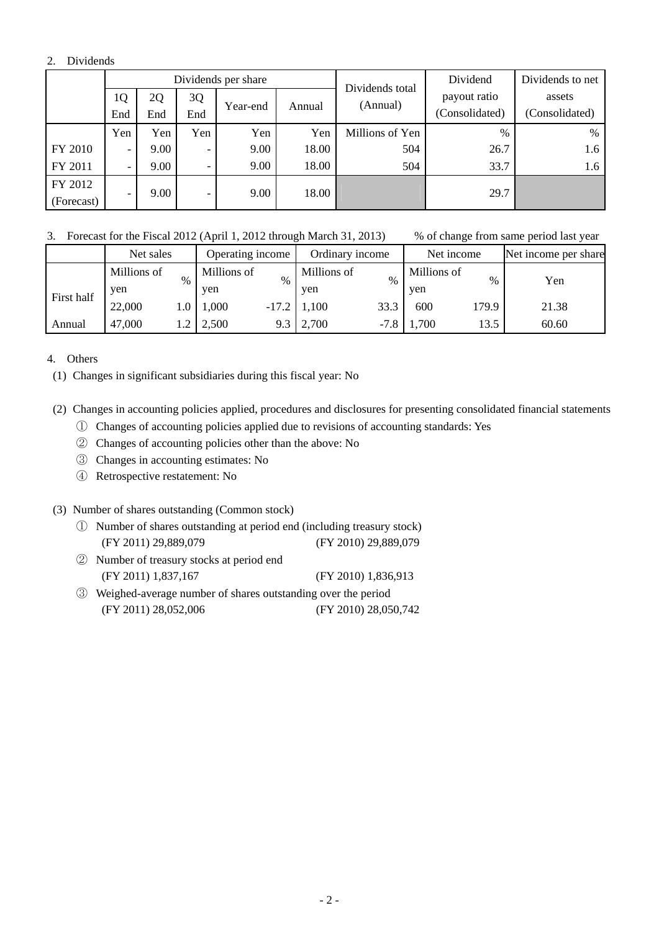### 2. Dividends

|            |                          |      |                          | Dividends per share |        | Dividends total | Dividend       | Dividends to net |        |
|------------|--------------------------|------|--------------------------|---------------------|--------|-----------------|----------------|------------------|--------|
|            | 1Q                       | 2Q   | 3Q                       |                     |        |                 | (Annual)       | payout ratio     | assets |
|            | End                      | End  | End                      | Year-end            | Annual |                 | (Consolidated) | (Consolidated)   |        |
|            | Yen                      | Yen  | Yen                      | Yen                 | Yen    | Millions of Yen | $\%$           | %                |        |
| FY 2010    | $\overline{\phantom{0}}$ | 9.00 | $\overline{\phantom{0}}$ | 9.00                | 18.00  | 504             | 26.7           | 1.6              |        |
| FY 2011    | $\overline{\phantom{0}}$ | 9.00 | $\overline{\phantom{0}}$ | 9.00                | 18.00  | 504             | 33.7           | 1.6              |        |
| FY 2012    |                          |      |                          |                     |        |                 |                |                  |        |
| (Forecast) | $\overline{\phantom{a}}$ | 9.00 | -                        | 9.00                | 18.00  |                 | 29.7           |                  |        |

3. Forecast for the Fiscal 2012 (April 1, 2012 through March 31, 2013) % of change from same period last year

|            | Net sales   |      | Operating income |         | Ordinary income |        | Net income  |       | Net income per share |
|------------|-------------|------|------------------|---------|-----------------|--------|-------------|-------|----------------------|
|            | Millions of | $\%$ | Millions of      | $\%$    | Millions of     | $\%$   | Millions of | $\%$  | Yen                  |
| First half | ven         |      | yen              |         | yen             |        | yen         |       |                      |
|            | 22,000      | 1.0  | 1,000            | $-17.2$ | 1,100           | 33.3   | 600         | 179.9 | 21.38                |
| Annual     | 47,000      |      | 2,500            | 9.3     | 2,700           | $-7.8$ | 1,700       | 13.5  | 60.60                |

4. Others

(1) Changes in significant subsidiaries during this fiscal year: No

### (2) Changes in accounting policies applied, procedures and disclosures for presenting consolidated financial statements

- ① Changes of accounting policies applied due to revisions of accounting standards: Yes
- ② Changes of accounting policies other than the above: No
- ③ Changes in accounting estimates: No
- ④ Retrospective restatement: No

### (3) Number of shares outstanding (Common stock)

- ① Number of shares outstanding at period end (including treasury stock) (FY 2011) 29,889,079 (FY 2010) 29,889,079
- ② Number of treasury stocks at period end (FY 2011) 1,837,167 (FY 2010) 1,836,913
- ③ Weighed-average number of shares outstanding over the period (FY 2011) 28,052,006 (FY 2010) 28,050,742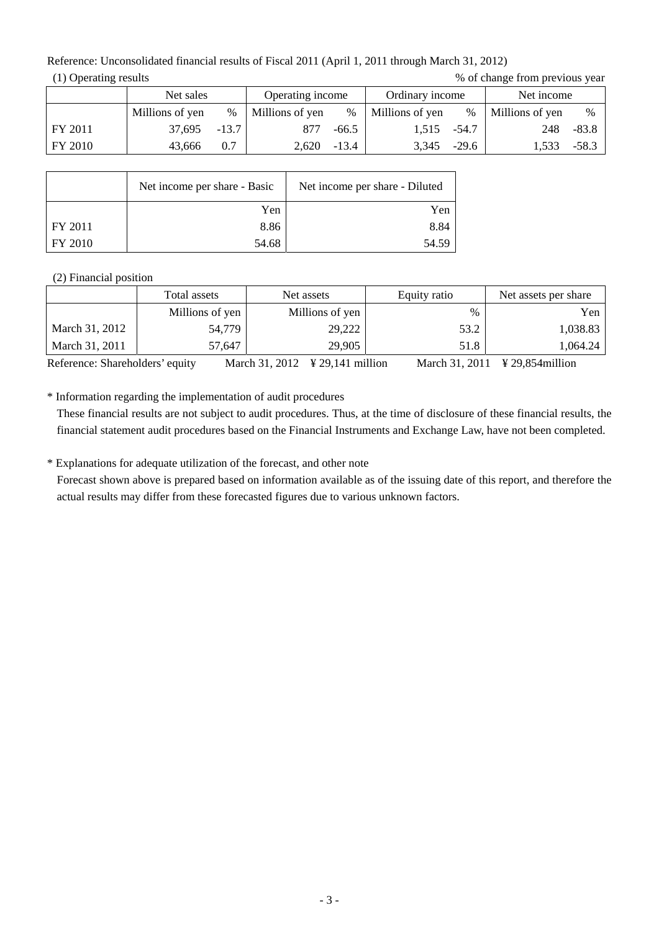Reference: Unconsolidated financial results of Fiscal 2011 (April 1, 2011 through March 31, 2012)  $(1)$  Operating results

| % of change from previous year |  |  |
|--------------------------------|--|--|
|                                |  |  |

|         | Net sales       |         | Operating income |         | Ordinary income |         | Net income      |         |
|---------|-----------------|---------|------------------|---------|-----------------|---------|-----------------|---------|
|         | Millions of yen | $\%$    | Millions of yen  | $\%$    | Millions of yen | %       | Millions of yen | $\%$    |
| FY 2011 | 37,695          | $-13.7$ | 877              | $-66.5$ | 1,515           | -54.7   | 248             | $-83.8$ |
| FY 2010 | 43.666          | 0.7     | 2.620            | $-13.4$ | 3.345           | $-29.6$ | 1.533           | $-58.3$ |

|         | Net income per share - Basic | Net income per share - Diluted |
|---------|------------------------------|--------------------------------|
|         | Yen                          | Yen                            |
| FY 2011 | 8.86                         | 8.84                           |
| FY 2010 | 54.68                        | 54.59                          |

## (2) Financial position

|                | Total assets    | Net assets      |      | Net assets per share |
|----------------|-----------------|-----------------|------|----------------------|
|                | Millions of yen | Millions of yen | $\%$ | Yen                  |
| March 31, 2012 | 54,779          | 29,222          | 53.2 | 1,038.83             |
| March 31, 2011 | 57,647          | 29,905          | 51.8 | 1.064.24             |

Reference: Shareholders' equity March 31, 2012 ¥ 29,141 million March 31, 2011 ¥ 29,854million

\* Information regarding the implementation of audit procedures

These financial results are not subject to audit procedures. Thus, at the time of disclosure of these financial results, the financial statement audit procedures based on the Financial Instruments and Exchange Law, have not been completed.

\* Explanations for adequate utilization of the forecast, and other note

Forecast shown above is prepared based on information available as of the issuing date of this report, and therefore the actual results may differ from these forecasted figures due to various unknown factors.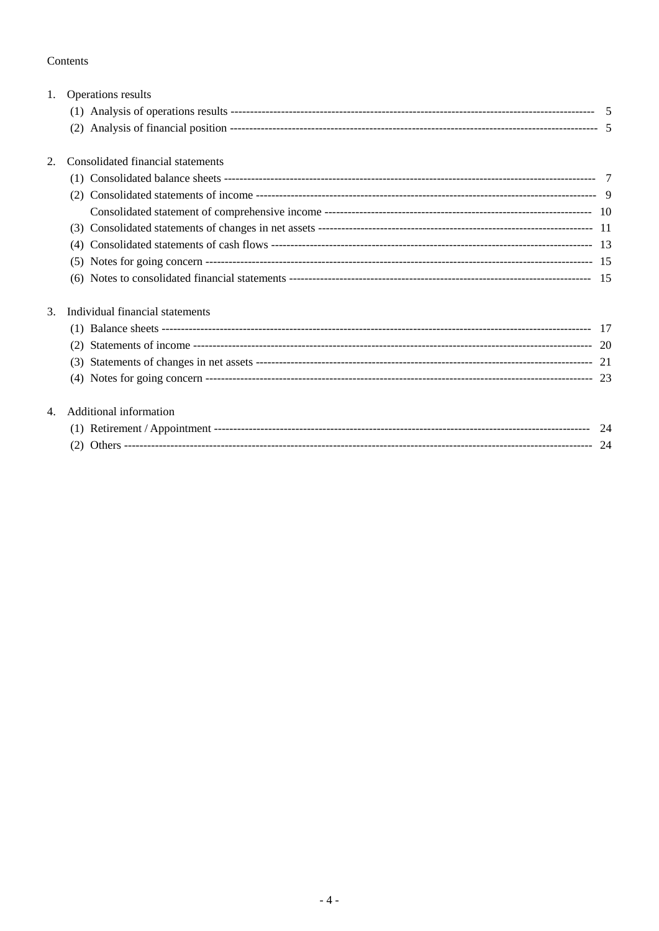## Contents

| 1. | Operations results                |  |  |  |
|----|-----------------------------------|--|--|--|
|    |                                   |  |  |  |
|    |                                   |  |  |  |
| 2. | Consolidated financial statements |  |  |  |
|    |                                   |  |  |  |
|    |                                   |  |  |  |
|    |                                   |  |  |  |
|    | (3)                               |  |  |  |
|    | (4)                               |  |  |  |
|    |                                   |  |  |  |
|    |                                   |  |  |  |
| 3. | Individual financial statements   |  |  |  |
|    |                                   |  |  |  |
|    | (2)                               |  |  |  |
|    |                                   |  |  |  |
|    |                                   |  |  |  |
| 4. | Additional information            |  |  |  |
|    |                                   |  |  |  |
|    |                                   |  |  |  |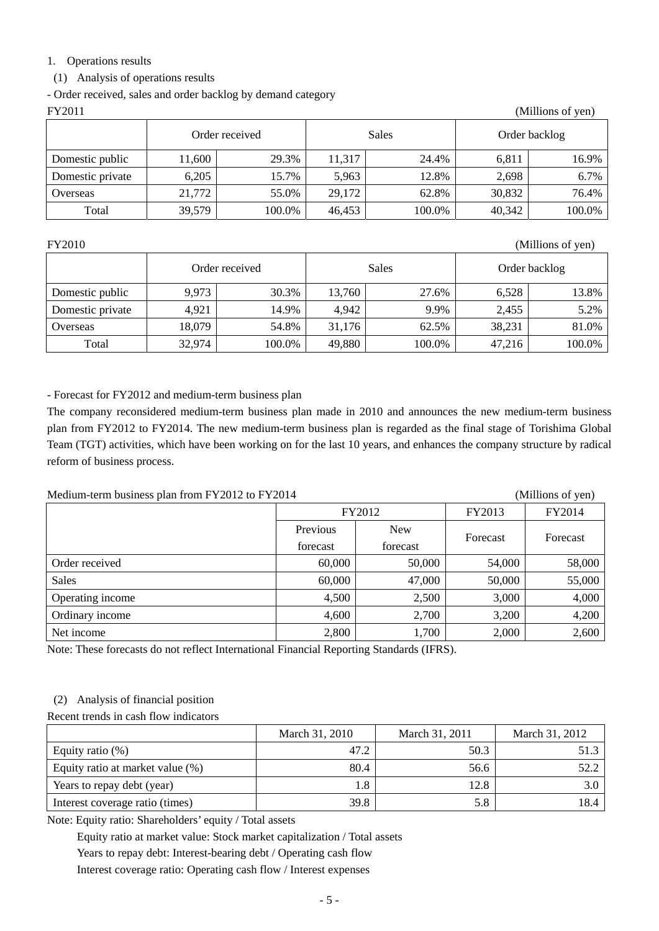### 1. Operations results

(1) Analysis of operations results

- Order received, sales and order backlog by demand category

| FY2011<br>(Millions of yen) |        |        |        |        |               |        |
|-----------------------------|--------|--------|--------|--------|---------------|--------|
| Order received              |        |        | Sales  |        | Order backlog |        |
| Domestic public             | 11,600 | 29.3%  | 11,317 | 24.4%  | 6,811         | 16.9%  |
| Domestic private            | 6,205  | 15.7%  | 5,963  | 12.8%  | 2,698         | 6.7%   |
| Overseas                    | 21,772 | 55.0%  | 29,172 | 62.8%  | 30,832        | 76.4%  |
| Total                       | 39,579 | 100.0% | 46,453 | 100.0% | 40,342        | 100.0% |

FY2010 (Millions of yen)

|                  |        | Order received |        | Sales  |        | Order backlog |
|------------------|--------|----------------|--------|--------|--------|---------------|
| Domestic public  | 9,973  | 30.3%          | 13,760 | 27.6%  | 6,528  | 13.8%         |
| Domestic private | 4,921  | 14.9%          | 4,942  | 9.9%   | 2,455  | 5.2%          |
| Overseas         | 18,079 | 54.8%          | 31,176 | 62.5%  | 38,231 | 81.0%         |
| Total            | 32,974 | 100.0%         | 49,880 | 100.0% | 47,216 | 100.0%        |

- Forecast for FY2012 and medium-term business plan

The company reconsidered medium-term business plan made in 2010 and announces the new medium-term business plan from FY2012 to FY2014. The new medium-term business plan is regarded as the final stage of Torishima Global Team (TGT) activities, which have been working on for the last 10 years, and enhances the company structure by radical reform of business process.

| Medium-term business plan from FY2012 to FY2014<br>(Millions of yen) |        |        |          |          |
|----------------------------------------------------------------------|--------|--------|----------|----------|
|                                                                      | FY2012 |        | FY2013   | FY2014   |
| <b>New</b><br>Previous<br>forecast<br>forecast                       |        |        |          |          |
|                                                                      |        |        | Forecast | Forecast |
| Order received                                                       | 60,000 | 50,000 | 54,000   | 58,000   |
| <b>Sales</b>                                                         | 60,000 | 47,000 | 50,000   | 55,000   |
| Operating income                                                     | 4,500  | 2,500  | 3,000    | 4,000    |
| Ordinary income                                                      | 4,600  | 2,700  | 3,200    | 4,200    |
| Net income                                                           | 2,800  | 1,700  | 2,000    | 2,600    |

Note: These forecasts do not reflect International Financial Reporting Standards (IFRS).

## (2) Analysis of financial position

Recent trends in cash flow indicators

|                                  | March 31, 2010 | March 31, 2011 | March 31, 2012 |
|----------------------------------|----------------|----------------|----------------|
| Equity ratio $(\%)$              | 47.2           | 50.3           | 51.3           |
| Equity ratio at market value (%) | 80.4           | 56.6           | 52.2           |
| Years to repay debt (year)       | 1.8            | 12.8           |                |
| Interest coverage ratio (times)  | 39.8           | 5.8            | 18.4           |

Note: Equity ratio: Shareholders' equity / Total assets

Equity ratio at market value: Stock market capitalization / Total assets

Years to repay debt: Interest-bearing debt / Operating cash flow

Interest coverage ratio: Operating cash flow / Interest expenses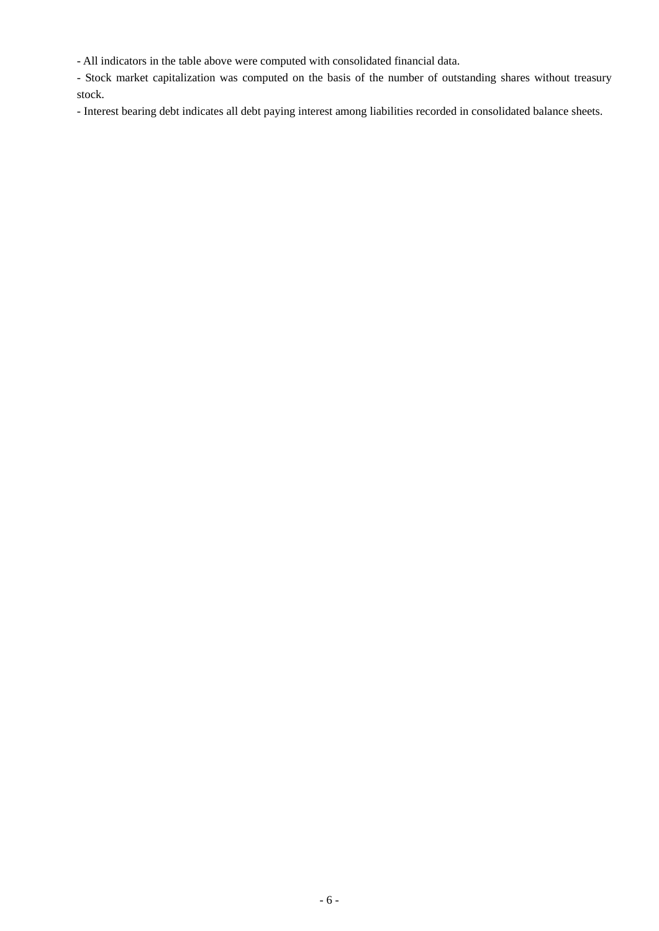- All indicators in the table above were computed with consolidated financial data.

- Stock market capitalization was computed on the basis of the number of outstanding shares without treasury stock.

- Interest bearing debt indicates all debt paying interest among liabilities recorded in consolidated balance sheets.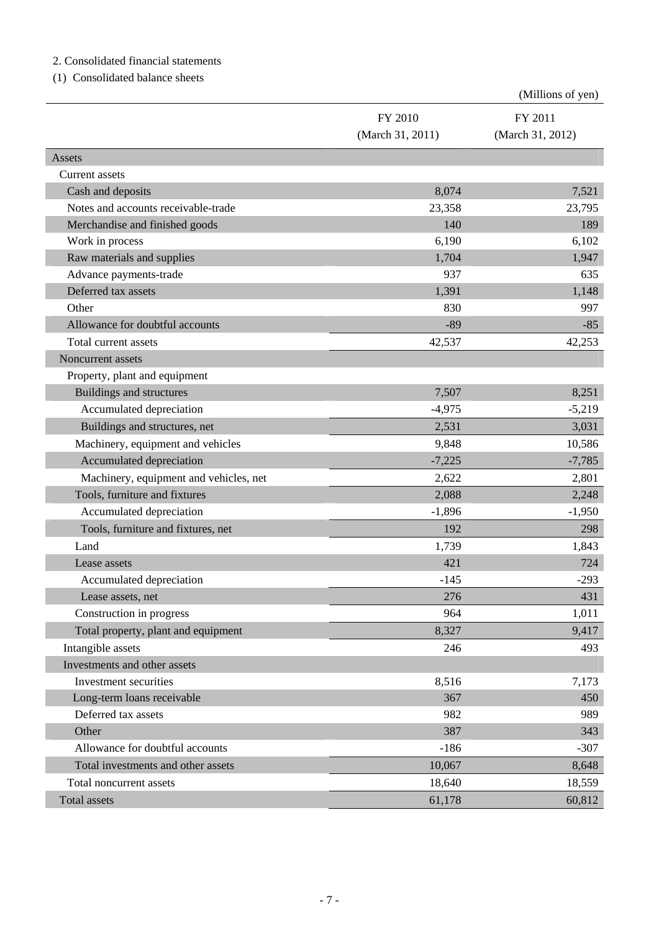## 2. Consolidated financial statements

(1) Consolidated balance sheets

|                                        |                  | (Millions of yen) |
|----------------------------------------|------------------|-------------------|
|                                        | FY 2010          | FY 2011           |
|                                        | (March 31, 2011) | (March 31, 2012)  |
| Assets                                 |                  |                   |
| Current assets                         |                  |                   |
| Cash and deposits                      | 8,074            | 7,521             |
| Notes and accounts receivable-trade    | 23,358           | 23,795            |
| Merchandise and finished goods         | 140              | 189               |
| Work in process                        | 6,190            | 6,102             |
| Raw materials and supplies             | 1,704            | 1,947             |
| Advance payments-trade                 | 937              | 635               |
| Deferred tax assets                    | 1,391            | 1,148             |
| Other                                  | 830              | 997               |
| Allowance for doubtful accounts        | $-89$            | $-85$             |
| Total current assets                   | 42,537           | 42,253            |
| Noncurrent assets                      |                  |                   |
| Property, plant and equipment          |                  |                   |
| Buildings and structures               | 7,507            | 8,251             |
| Accumulated depreciation               | $-4,975$         | $-5,219$          |
| Buildings and structures, net          | 2,531            | 3,031             |
| Machinery, equipment and vehicles      | 9,848            | 10,586            |
| Accumulated depreciation               | $-7,225$         | $-7,785$          |
| Machinery, equipment and vehicles, net | 2,622            | 2,801             |
| Tools, furniture and fixtures          | 2,088            | 2,248             |
| Accumulated depreciation               | $-1,896$         | $-1,950$          |
| Tools, furniture and fixtures, net     | 192              | 298               |
| Land                                   | 1,739            | 1,843             |
| Lease assets                           | 421              | 724               |
| Accumulated depreciation               | $-145$           | 293               |
| Lease assets, net                      | 276              | 431               |
| Construction in progress               | 964              | 1,011             |
| Total property, plant and equipment    | 8,327            | 9,417             |
| Intangible assets                      | 246              | 493               |
| Investments and other assets           |                  |                   |
| Investment securities                  | 8,516            | 7,173             |
| Long-term loans receivable             | 367              | 450               |
| Deferred tax assets                    | 982              | 989               |
| Other                                  | 387              | 343               |
| Allowance for doubtful accounts        | $-186$           | $-307$            |
| Total investments and other assets     | 10,067           | 8,648             |
| Total noncurrent assets                | 18,640           | 18,559            |
| Total assets                           | 61,178           | 60,812            |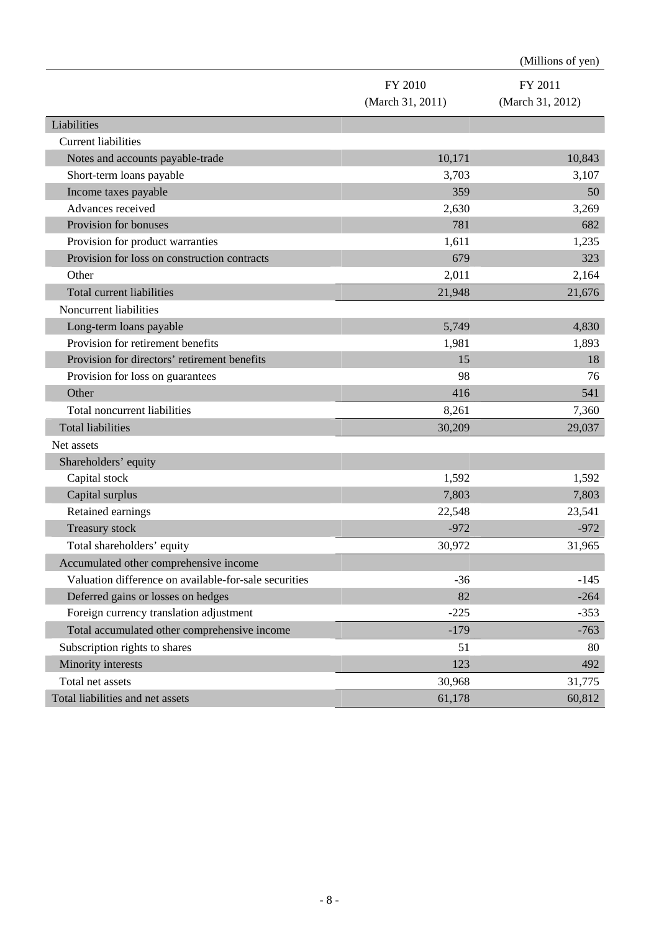|                                                       |                  | (Millions of yen) |
|-------------------------------------------------------|------------------|-------------------|
|                                                       | FY 2010          | FY 2011           |
|                                                       | (March 31, 2011) | (March 31, 2012)  |
| Liabilities                                           |                  |                   |
| <b>Current liabilities</b>                            |                  |                   |
| Notes and accounts payable-trade                      | 10,171           | 10,843            |
| Short-term loans payable                              | 3,703            | 3,107             |
| Income taxes payable                                  | 359              | 50                |
| Advances received                                     | 2,630            | 3,269             |
| Provision for bonuses                                 | 781              | 682               |
| Provision for product warranties                      | 1,611            | 1,235             |
| Provision for loss on construction contracts          | 679              | 323               |
| Other                                                 | 2,011            | 2,164             |
| Total current liabilities                             | 21,948           | 21,676            |
| Noncurrent liabilities                                |                  |                   |
| Long-term loans payable                               | 5,749            | 4,830             |
| Provision for retirement benefits                     | 1,981            | 1,893             |
| Provision for directors' retirement benefits          | 15               | 18                |
| Provision for loss on guarantees                      | 98               | 76                |
| Other                                                 | 416              | 541               |
| Total noncurrent liabilities                          | 8,261            | 7,360             |
| <b>Total liabilities</b>                              | 30,209           | 29,037            |
| Net assets                                            |                  |                   |
| Shareholders' equity                                  |                  |                   |
| Capital stock                                         | 1,592            | 1,592             |
| Capital surplus                                       | 7,803            | 7,803             |
| Retained earnings                                     | 22,548           | 23,541            |
| Treasury stock                                        | $-972$           | $-972$            |
| Total shareholders' equity                            | 30,972           | 31,965            |
| Accumulated other comprehensive income                |                  |                   |
| Valuation difference on available-for-sale securities | $-36$            | $-145$            |
| Deferred gains or losses on hedges                    | 82               | $-264$            |
| Foreign currency translation adjustment               | $-225$           | $-353$            |
| Total accumulated other comprehensive income          | $-179$           | $-763$            |
| Subscription rights to shares                         | 51               | 80                |
| Minority interests                                    | 123              | 492               |
| Total net assets                                      | 30,968           | 31,775            |
| Total liabilities and net assets                      | 61,178           | 60,812            |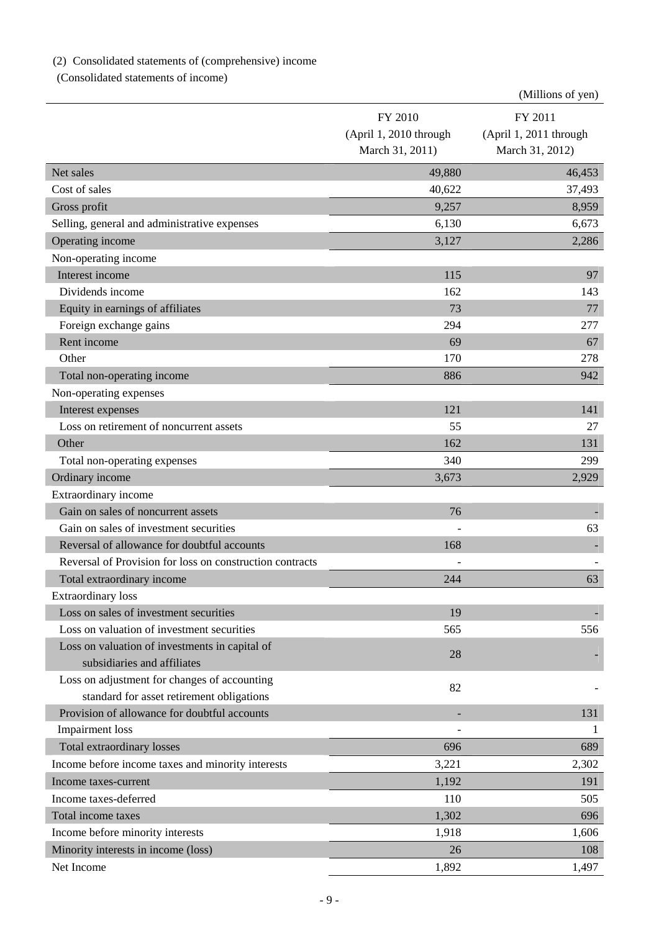# (2) Consolidated statements of (comprehensive) income

(Consolidated statements of income)

|                                                          |                        | (Millions of yen)      |
|----------------------------------------------------------|------------------------|------------------------|
|                                                          | FY 2010                | FY 2011                |
|                                                          | (April 1, 2010 through | (April 1, 2011 through |
|                                                          | March 31, 2011)        | March 31, 2012)        |
| Net sales                                                | 49,880                 | 46,453                 |
| Cost of sales                                            | 40,622                 | 37,493                 |
| Gross profit                                             | 9,257                  | 8,959                  |
| Selling, general and administrative expenses             | 6,130                  | 6,673                  |
| Operating income                                         | 3,127                  | 2,286                  |
| Non-operating income                                     |                        |                        |
| Interest income                                          | 115                    | 97                     |
| Dividends income                                         | 162                    | 143                    |
| Equity in earnings of affiliates                         | 73                     | 77                     |
| Foreign exchange gains                                   | 294                    | 277                    |
| Rent income                                              | 69                     | 67                     |
| Other                                                    | 170                    | 278                    |
| Total non-operating income                               | 886                    | 942                    |
| Non-operating expenses                                   |                        |                        |
| Interest expenses                                        | 121                    | 141                    |
| Loss on retirement of noncurrent assets                  | 55                     | 27                     |
| Other                                                    | 162                    | 131                    |
| Total non-operating expenses                             | 340                    | 299                    |
| Ordinary income                                          | 3,673                  | 2,929                  |
| Extraordinary income                                     |                        |                        |
| Gain on sales of noncurrent assets                       | 76                     |                        |
| Gain on sales of investment securities                   |                        | 63                     |
| Reversal of allowance for doubtful accounts              | 168                    |                        |
| Reversal of Provision for loss on construction contracts |                        |                        |
| Total extraordinary income                               | 244                    | 63                     |
| <b>Extraordinary</b> loss                                |                        |                        |
| Loss on sales of investment securities                   | 19                     |                        |
| Loss on valuation of investment securities               | 565                    | 556                    |
| Loss on valuation of investments in capital of           | 28                     |                        |
| subsidiaries and affiliates                              |                        |                        |
| Loss on adjustment for changes of accounting             | 82                     |                        |
| standard for asset retirement obligations                |                        |                        |
| Provision of allowance for doubtful accounts             |                        | 131                    |
| <b>Impairment</b> loss                                   |                        | 1                      |
| Total extraordinary losses                               | 696                    | 689                    |
| Income before income taxes and minority interests        | 3,221                  | 2,302                  |
| Income taxes-current                                     | 1,192                  | 191                    |
| Income taxes-deferred                                    | 110                    | 505                    |
| Total income taxes                                       | 1,302                  | 696                    |
| Income before minority interests                         | 1,918                  | 1,606                  |
| Minority interests in income (loss)                      | 26                     | 108                    |
| Net Income                                               | 1,892                  | 1,497                  |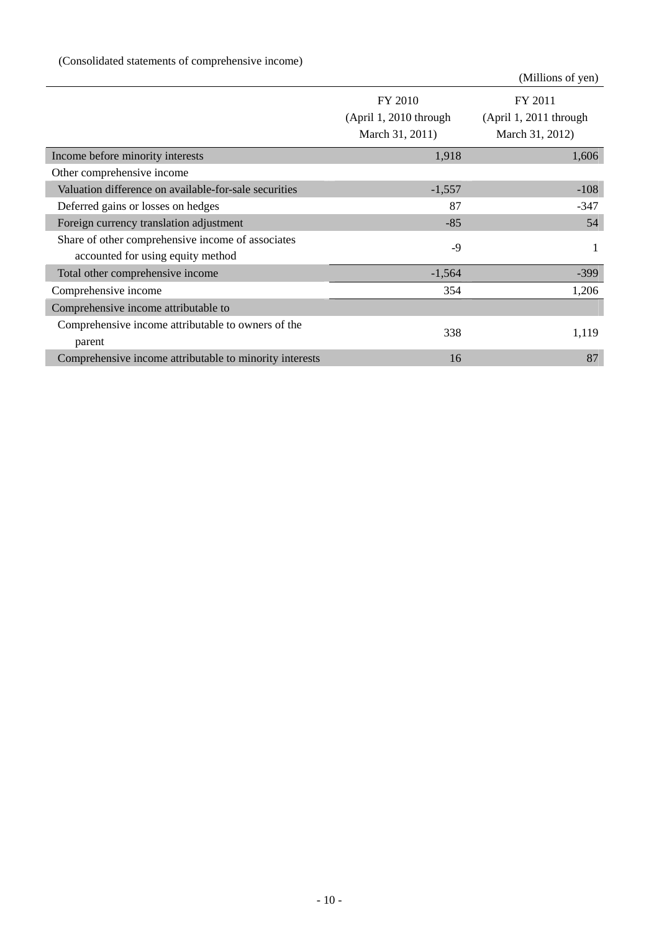|                                                                                        |                                                      | (Millions of yen)                                    |
|----------------------------------------------------------------------------------------|------------------------------------------------------|------------------------------------------------------|
|                                                                                        | FY 2010<br>(April 1, 2010 through<br>March 31, 2011) | FY 2011<br>(April 1, 2011 through<br>March 31, 2012) |
| Income before minority interests                                                       | 1,918                                                | 1,606                                                |
| Other comprehensive income                                                             |                                                      |                                                      |
| Valuation difference on available-for-sale securities                                  | $-1,557$                                             | $-108$                                               |
| Deferred gains or losses on hedges                                                     | 87                                                   | $-347$                                               |
| Foreign currency translation adjustment                                                | $-85$                                                | 54                                                   |
| Share of other comprehensive income of associates<br>accounted for using equity method | $-9$                                                 | 1                                                    |
| Total other comprehensive income                                                       | $-1,564$                                             | $-399$                                               |
| Comprehensive income                                                                   | 354                                                  | 1,206                                                |
| Comprehensive income attributable to                                                   |                                                      |                                                      |
| Comprehensive income attributable to owners of the<br>parent                           | 338                                                  | 1,119                                                |
| Comprehensive income attributable to minority interests                                | 16                                                   | 87                                                   |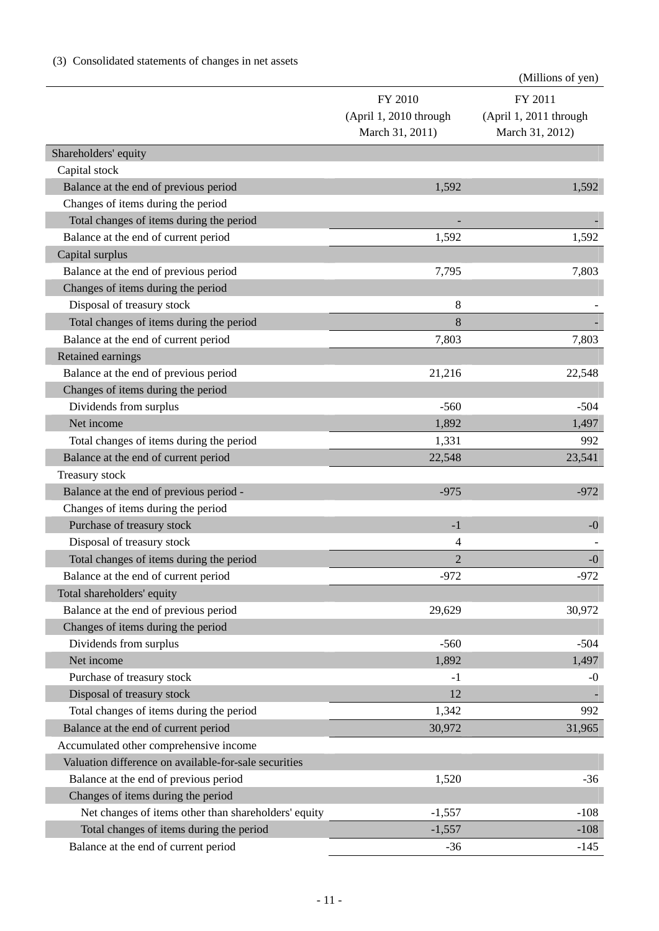# (3) Consolidated statements of changes in net assets

|                                                       |                        | (Millions of yen)      |
|-------------------------------------------------------|------------------------|------------------------|
|                                                       | FY 2010                | FY 2011                |
|                                                       | (April 1, 2010 through | (April 1, 2011 through |
|                                                       | March 31, 2011)        | March 31, 2012)        |
| Shareholders' equity                                  |                        |                        |
| Capital stock                                         |                        |                        |
| Balance at the end of previous period                 | 1,592                  | 1,592                  |
| Changes of items during the period                    |                        |                        |
| Total changes of items during the period              |                        |                        |
| Balance at the end of current period                  | 1,592                  | 1,592                  |
| Capital surplus                                       |                        |                        |
| Balance at the end of previous period                 | 7,795                  | 7,803                  |
| Changes of items during the period                    |                        |                        |
| Disposal of treasury stock                            | 8                      |                        |
| Total changes of items during the period              | 8                      |                        |
| Balance at the end of current period                  | 7,803                  | 7,803                  |
| Retained earnings                                     |                        |                        |
| Balance at the end of previous period                 | 21,216                 | 22,548                 |
| Changes of items during the period                    |                        |                        |
| Dividends from surplus                                | $-560$                 | $-504$                 |
| Net income                                            | 1,892                  | 1,497                  |
| Total changes of items during the period              | 1,331                  | 992                    |
| Balance at the end of current period                  | 22,548                 | 23,541                 |
| Treasury stock                                        |                        |                        |
| Balance at the end of previous period -               | $-975$                 | $-972$                 |
| Changes of items during the period                    |                        |                        |
| Purchase of treasury stock                            | $-1$                   | $-0$                   |
| Disposal of treasury stock                            | 4                      |                        |
| Total changes of items during the period              | $\overline{2}$         | $-0$                   |
| Balance at the end of current period                  | $-972$                 | $-972$                 |
| Total shareholders' equity                            |                        |                        |
| Balance at the end of previous period                 | 29,629                 | 30,972                 |
| Changes of items during the period                    |                        |                        |
| Dividends from surplus                                | $-560$                 | $-504$                 |
| Net income                                            | 1,892                  | 1,497                  |
| Purchase of treasury stock                            | $-1$                   | $-0$                   |
| Disposal of treasury stock                            | 12                     |                        |
| Total changes of items during the period              | 1,342                  | 992                    |
| Balance at the end of current period                  | 30,972                 | 31,965                 |
| Accumulated other comprehensive income                |                        |                        |
| Valuation difference on available-for-sale securities |                        |                        |
| Balance at the end of previous period                 | 1,520                  | $-36$                  |
| Changes of items during the period                    |                        |                        |
| Net changes of items other than shareholders' equity  | $-1,557$               | $-108$                 |
| Total changes of items during the period              | $-1,557$               | $-108$                 |
| Balance at the end of current period                  | $-36$                  | $-145$                 |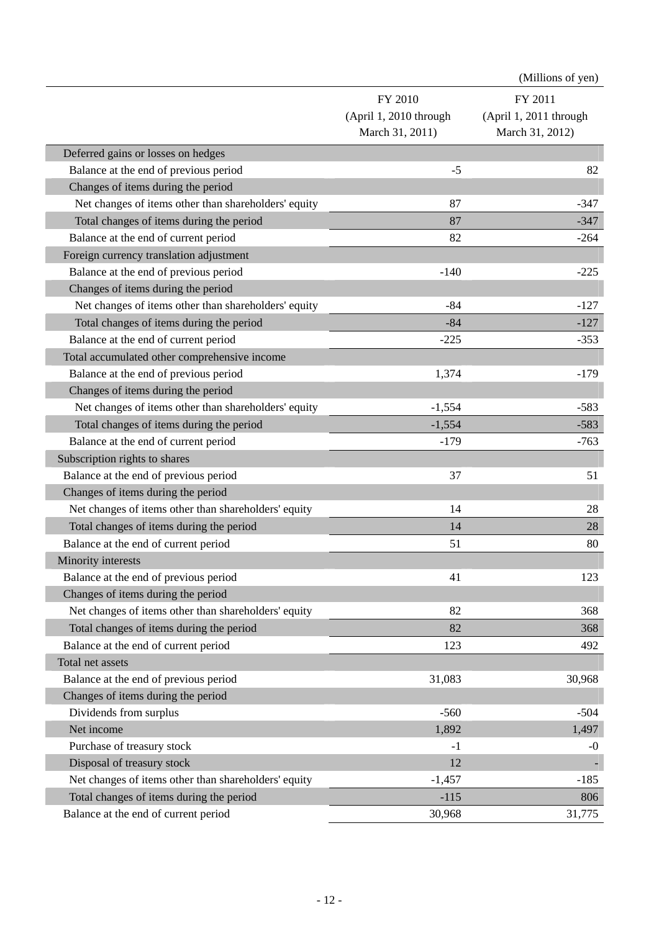|                                                      |                        | (Millions of yen)      |
|------------------------------------------------------|------------------------|------------------------|
|                                                      | FY 2010                | FY 2011                |
|                                                      | (April 1, 2010 through | (April 1, 2011 through |
|                                                      | March 31, 2011)        | March 31, 2012)        |
| Deferred gains or losses on hedges                   |                        |                        |
| Balance at the end of previous period                | $-5$                   | 82                     |
| Changes of items during the period                   |                        |                        |
| Net changes of items other than shareholders' equity | 87                     | $-347$                 |
| Total changes of items during the period             | 87                     | $-347$                 |
| Balance at the end of current period                 | 82                     | $-264$                 |
| Foreign currency translation adjustment              |                        |                        |
| Balance at the end of previous period                | $-140$                 | $-225$                 |
| Changes of items during the period                   |                        |                        |
| Net changes of items other than shareholders' equity | $-84$                  | $-127$                 |
| Total changes of items during the period             | $-84$                  | $-127$                 |
| Balance at the end of current period                 | $-225$                 | $-353$                 |
| Total accumulated other comprehensive income         |                        |                        |
| Balance at the end of previous period                | 1,374                  | $-179$                 |
| Changes of items during the period                   |                        |                        |
| Net changes of items other than shareholders' equity | $-1,554$               | $-583$                 |
| Total changes of items during the period             | $-1,554$               | $-583$                 |
| Balance at the end of current period                 | $-179$                 | $-763$                 |
| Subscription rights to shares                        |                        |                        |
| Balance at the end of previous period                | 37                     | 51                     |
| Changes of items during the period                   |                        |                        |
| Net changes of items other than shareholders' equity | 14                     | 28                     |
| Total changes of items during the period             | 14                     | 28                     |
| Balance at the end of current period                 | 51                     | 80                     |
| Minority interests                                   |                        |                        |
| Balance at the end of previous period                | 41                     | 123                    |
| Changes of items during the period                   |                        |                        |
| Net changes of items other than shareholders' equity | 82                     | 368                    |
| Total changes of items during the period             | 82                     | 368                    |
| Balance at the end of current period                 | 123                    | 492                    |
| Total net assets                                     |                        |                        |
| Balance at the end of previous period                | 31,083                 | 30,968                 |
| Changes of items during the period                   |                        |                        |
| Dividends from surplus                               | $-560$                 | $-504$                 |
| Net income                                           | 1,892                  | 1,497                  |
| Purchase of treasury stock                           | $-1$                   | $-0$                   |
| Disposal of treasury stock                           | 12                     |                        |
| Net changes of items other than shareholders' equity | $-1,457$               | $-185$                 |
| Total changes of items during the period             | $-115$                 | 806                    |
| Balance at the end of current period                 | 30,968                 | 31,775                 |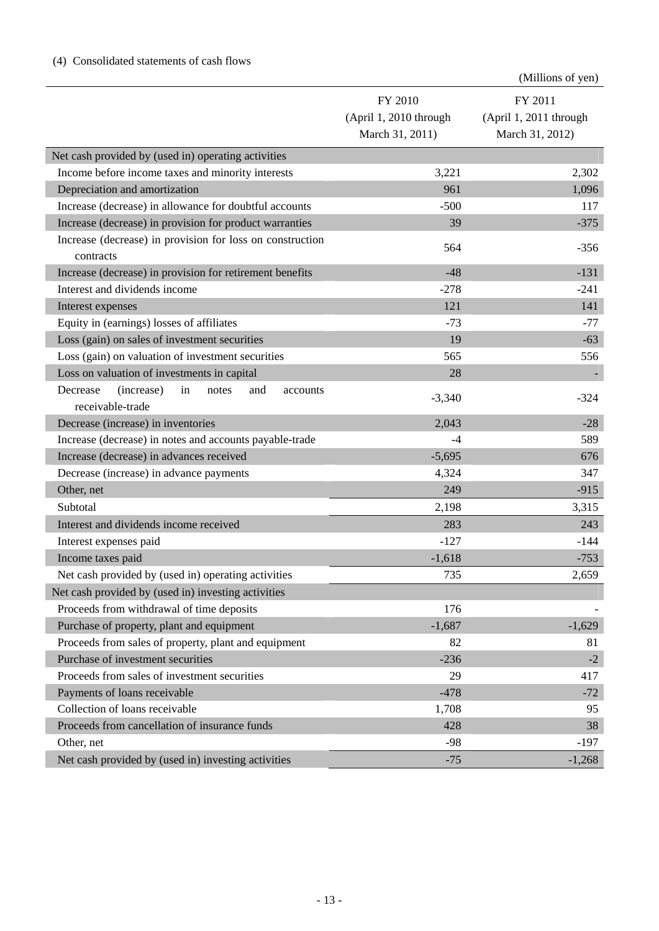|                                                                              |                                   | (Millions of yen)                 |
|------------------------------------------------------------------------------|-----------------------------------|-----------------------------------|
|                                                                              | FY 2010<br>(April 1, 2010 through | FY 2011<br>(April 1, 2011 through |
|                                                                              | March 31, 2011)                   | March 31, 2012)                   |
| Net cash provided by (used in) operating activities                          |                                   |                                   |
| Income before income taxes and minority interests                            | 3,221                             | 2,302                             |
| Depreciation and amortization                                                | 961                               | 1,096                             |
| Increase (decrease) in allowance for doubtful accounts                       | $-500$                            | 117                               |
| Increase (decrease) in provision for product warranties                      | 39                                | $-375$                            |
| Increase (decrease) in provision for loss on construction                    |                                   |                                   |
| contracts                                                                    | 564                               | $-356$                            |
| Increase (decrease) in provision for retirement benefits                     | $-48$                             | $-131$                            |
| Interest and dividends income                                                | $-278$                            | $-241$                            |
| Interest expenses                                                            | 121                               | 141                               |
| Equity in (earnings) losses of affiliates                                    | $-73$                             | $-77$                             |
| Loss (gain) on sales of investment securities                                | 19                                | $-63$                             |
| Loss (gain) on valuation of investment securities                            | 565                               | 556                               |
| Loss on valuation of investments in capital                                  | 28                                |                                   |
| (increase)<br>Decrease<br>in<br>notes<br>and<br>accounts<br>receivable-trade | $-3,340$                          | $-324$                            |
| Decrease (increase) in inventories                                           | 2,043                             | $-28$                             |
| Increase (decrease) in notes and accounts payable-trade                      | $-4$                              | 589                               |
| Increase (decrease) in advances received                                     | $-5,695$                          | 676                               |
| Decrease (increase) in advance payments                                      | 4,324                             | 347                               |
| Other, net                                                                   | 249                               | $-915$                            |
| Subtotal                                                                     | 2,198                             | 3,315                             |
| Interest and dividends income received                                       | 283                               | 243                               |
| Interest expenses paid                                                       | $-127$                            | $-144$                            |
| Income taxes paid                                                            | $-1,618$                          | $-753$                            |
| Net cash provided by (used in) operating activities                          | 735                               | 2,659                             |
| Net cash provided by (used in) investing activities                          |                                   |                                   |
| Proceeds from withdrawal of time deposits                                    | 176                               |                                   |
| Purchase of property, plant and equipment                                    | $-1,687$                          | $-1,629$                          |
| Proceeds from sales of property, plant and equipment                         | 82                                | 81                                |
| Purchase of investment securities                                            | $-236$                            | $-2$                              |
| Proceeds from sales of investment securities                                 | 29                                | 417                               |
| Payments of loans receivable                                                 | $-478$                            | $-72$                             |
| Collection of loans receivable                                               | 1,708                             | 95                                |
| Proceeds from cancellation of insurance funds                                | 428                               | 38                                |
| Other, net                                                                   | $-98$                             | $-197$                            |
| Net cash provided by (used in) investing activities                          | $-75$                             | $-1,268$                          |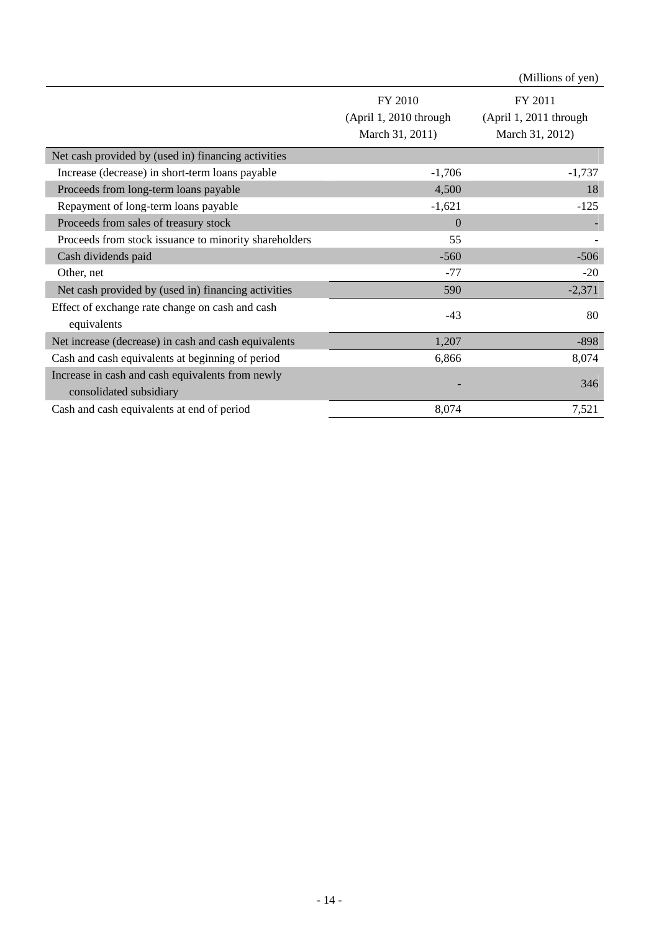|                                                                             |                                                    | (Millions of yen)                                    |
|-----------------------------------------------------------------------------|----------------------------------------------------|------------------------------------------------------|
|                                                                             | FY 2010<br>(Apri1, 2010 through<br>March 31, 2011) | FY 2011<br>(April 1, 2011 through<br>March 31, 2012) |
| Net cash provided by (used in) financing activities                         |                                                    |                                                      |
| Increase (decrease) in short-term loans payable                             | $-1,706$                                           | $-1,737$                                             |
| Proceeds from long-term loans payable                                       | 4,500                                              | 18                                                   |
| Repayment of long-term loans payable                                        | $-1,621$                                           | $-125$                                               |
| Proceeds from sales of treasury stock                                       | $\overline{0}$                                     |                                                      |
| Proceeds from stock issuance to minority shareholders                       | 55                                                 |                                                      |
| Cash dividends paid                                                         | $-560$                                             | $-506$                                               |
| Other, net                                                                  | $-77$                                              | $-20$                                                |
| Net cash provided by (used in) financing activities                         | 590                                                | $-2,371$                                             |
| Effect of exchange rate change on cash and cash<br>equivalents              | $-43$                                              | 80                                                   |
| Net increase (decrease) in cash and cash equivalents                        | 1,207                                              | $-898$                                               |
| Cash and cash equivalents at beginning of period                            | 6,866                                              | 8,074                                                |
| Increase in cash and cash equivalents from newly<br>consolidated subsidiary |                                                    | 346                                                  |
| Cash and cash equivalents at end of period                                  | 8,074                                              | 7,521                                                |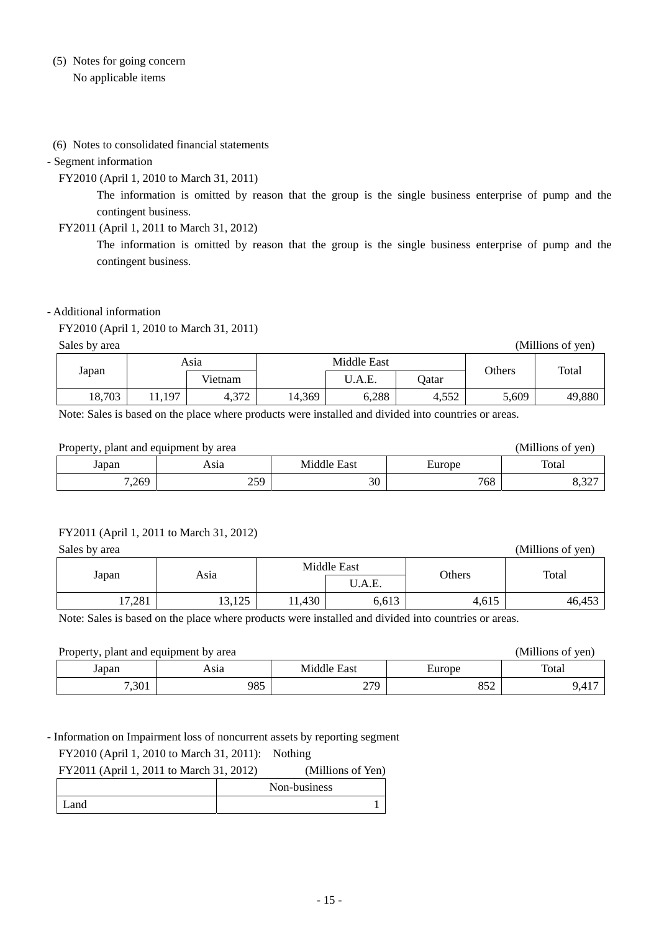## (5) Notes for going concern No applicable items

### (6) Notes to consolidated financial statements

#### - Segment information

FY2010 (April 1, 2010 to March 31, 2011)

The information is omitted by reason that the group is the single business enterprise of pump and the contingent business.

FY2011 (April 1, 2011 to March 31, 2012)

The information is omitted by reason that the group is the single business enterprise of pump and the contingent business.

### - Additional information

FY2010 (April 1, 2010 to March 31, 2011)

Sales by area (Millions of yen)

|  |        |        | Asia                  | Middle East |        |              |        |        |  |  |
|--|--------|--------|-----------------------|-------------|--------|--------------|--------|--------|--|--|
|  | Japan  |        | Vietnam               |             | J.A.E. | <b>Qatar</b> | Others | Total  |  |  |
|  | 18,703 | 11,197 | $1.27^\circ$<br>4.312 | 14,369      | 6,288  | 4,552        | 5,609  | 49,880 |  |  |

Note: Sales is based on the place where products were installed and divided into countries or areas.

| (Millions of yen)<br>Property, plant and equipment by area |            |             |        |       |
|------------------------------------------------------------|------------|-------------|--------|-------|
| Japan                                                      | Asıa       | Middle East | Europe | Total |
| 7,269                                                      | 250<br>ں ک | 30          | 768    | 8.32  |

### FY2011 (April 1, 2011 to March 31, 2012)

| Sales by area | (Millions of yen) |       |                       |        |        |
|---------------|-------------------|-------|-----------------------|--------|--------|
| Japan         | Asia              |       | Middle East<br>U.A.E. | Others | Total  |
| 17,281        | 13,125            | 1,430 | 6,613                 | 4,615  | 46,453 |

Note: Sales is based on the place where products were installed and divided into countries or areas.

| (Millions of yen)<br>Property, plant and equipment by area |      |             |        |       |
|------------------------------------------------------------|------|-------------|--------|-------|
| Japan                                                      | Asıa | Middle East | Europe | Total |
| 7,301                                                      | 985  | 279         | 852    | 9,417 |

- Information on Impairment loss of noncurrent assets by reporting segment

FY2010 (April 1, 2010 to March 31, 2011): Nothing

| FY2011 (April 1, 2011 to March 31, 2012) | (Millions of Yen) |
|------------------------------------------|-------------------|
|                                          | Non-business      |
| Land                                     |                   |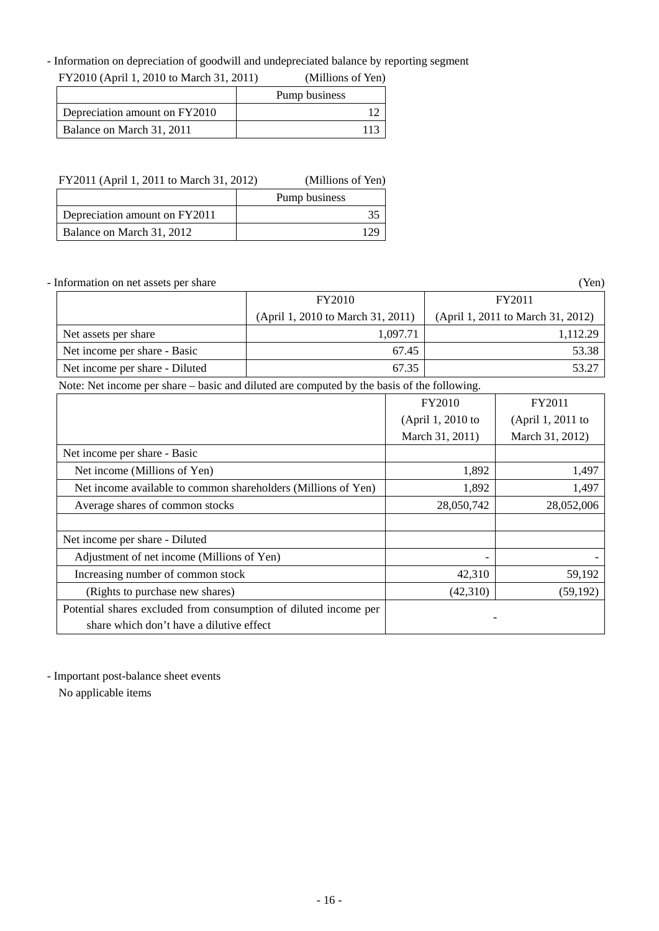- Information on depreciation of goodwill and undepreciated balance by reporting segment

| FY2010 (April 1, 2010 to March 31, 2011) | (Millions of Yen) |
|------------------------------------------|-------------------|
|                                          | Pump business     |
| Depreciation amount on FY2010            |                   |
| Balance on March 31, 2011                | 113               |

| FY2011 (April 1, 2011 to March 31, 2012) | (Millions of Yen) |
|------------------------------------------|-------------------|
|                                          | Pump business     |
| Depreciation amount on FY2011            |                   |
| Balance on March 31, 2012                |                   |

- Information on net assets per share (Yen)

|                                | <b>FY2010</b>                     | FY2011                            |
|--------------------------------|-----------------------------------|-----------------------------------|
|                                | (April 1, 2010 to March 31, 2011) | (April 1, 2011 to March 31, 2012) |
| Net assets per share           | 1.097.71                          | 1.112.29                          |
| Net income per share - Basic   | 67.45                             | 53.38                             |
| Net income per share - Diluted | 67.35                             | 53.27                             |

Note: Net income per share – basic and diluted are computed by the basis of the following.

|                                                                  | <b>FY2010</b>     | FY2011            |
|------------------------------------------------------------------|-------------------|-------------------|
|                                                                  | (April 1, 2010 to | (April 1, 2011 to |
|                                                                  | March 31, 2011)   | March 31, 2012)   |
| Net income per share - Basic                                     |                   |                   |
| Net income (Millions of Yen)                                     | 1,892             | 1,497             |
| Net income available to common shareholders (Millions of Yen)    | 1,892             | 1,497             |
| Average shares of common stocks                                  | 28,050,742        | 28,052,006        |
|                                                                  |                   |                   |
| Net income per share - Diluted                                   |                   |                   |
| Adjustment of net income (Millions of Yen)                       |                   |                   |
| Increasing number of common stock                                | 42,310            | 59,192            |
| (Rights to purchase new shares)                                  | (42,310)          | (59, 192)         |
| Potential shares excluded from consumption of diluted income per |                   |                   |
| share which don't have a dilutive effect                         |                   |                   |

- Important post-balance sheet events

No applicable items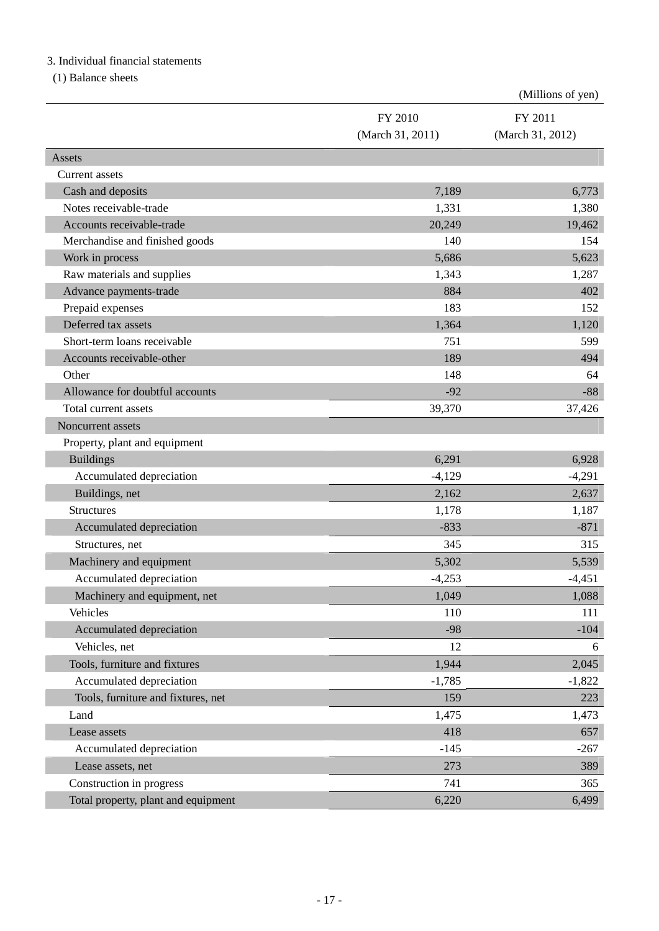## 3. Individual financial statements

(1) Balance sheets

|                                     |                  | (Millions of yen) |
|-------------------------------------|------------------|-------------------|
|                                     | FY 2010          | FY 2011           |
|                                     | (March 31, 2011) | (March 31, 2012)  |
| Assets                              |                  |                   |
| <b>Current</b> assets               |                  |                   |
| Cash and deposits                   | 7,189            | 6,773             |
| Notes receivable-trade              | 1,331            | 1,380             |
| Accounts receivable-trade           | 20,249           | 19,462            |
| Merchandise and finished goods      | 140              | 154               |
| Work in process                     | 5,686            | 5,623             |
| Raw materials and supplies          | 1,343            | 1,287             |
| Advance payments-trade              | 884              | 402               |
| Prepaid expenses                    | 183              | 152               |
| Deferred tax assets                 | 1,364            | 1,120             |
| Short-term loans receivable         | 751              | 599               |
| Accounts receivable-other           | 189              | 494               |
| Other                               | 148              | 64                |
| Allowance for doubtful accounts     | $-92$            | $-88$             |
| Total current assets                | 39,370           | 37,426            |
| Noncurrent assets                   |                  |                   |
| Property, plant and equipment       |                  |                   |
| <b>Buildings</b>                    | 6,291            | 6,928             |
| Accumulated depreciation            | $-4,129$         | $-4,291$          |
| Buildings, net                      | 2,162            | 2,637             |
| <b>Structures</b>                   | 1,178            | 1,187             |
| Accumulated depreciation            | $-833$           | $-871$            |
| Structures, net                     | 345              | 315               |
| Machinery and equipment             | 5,302            | 5,539             |
| Accumulated depreciation            | $-4,253$         | $-4,451$          |
| Machinery and equipment, net        | 1,049            | 1,088             |
| Vehicles                            | 110              | 111               |
| Accumulated depreciation            | $-98$            | $-104$            |
| Vehicles, net                       | 12               | 6                 |
| Tools, furniture and fixtures       | 1,944            | 2,045             |
| Accumulated depreciation            | $-1,785$         | $-1,822$          |
| Tools, furniture and fixtures, net  | 159              | 223               |
| Land                                | 1,475            | 1,473             |
| Lease assets                        | 418              | 657               |
| Accumulated depreciation            | $-145$           | $-267$            |
| Lease assets, net                   | 273              | 389               |
| Construction in progress            | 741              | 365               |
| Total property, plant and equipment | 6,220            | 6,499             |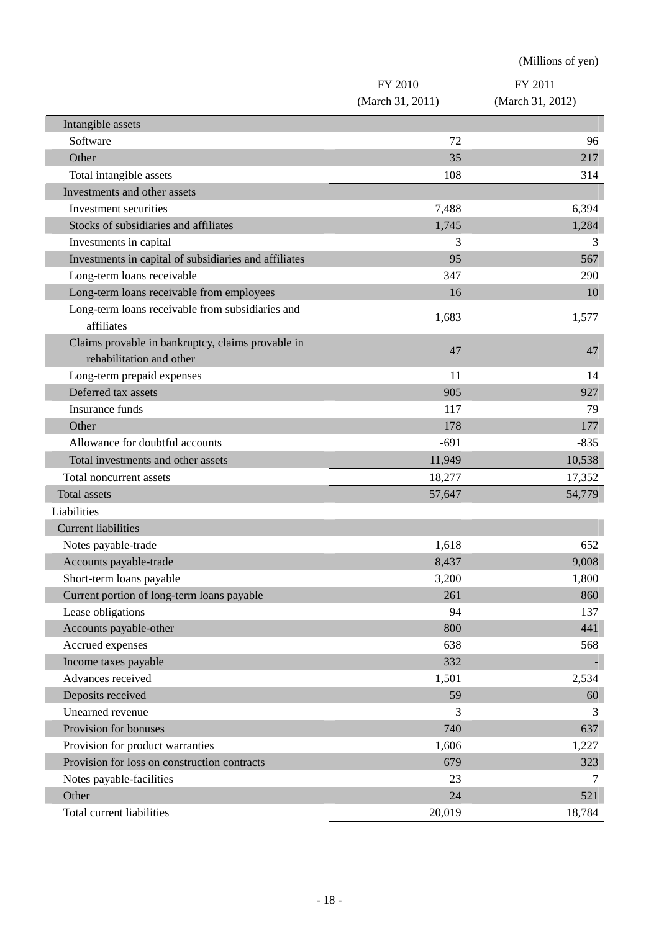|                                                                               |                  | (Millions of yen) |
|-------------------------------------------------------------------------------|------------------|-------------------|
|                                                                               | FY 2010          | FY 2011           |
|                                                                               | (March 31, 2011) | (March 31, 2012)  |
| Intangible assets                                                             |                  |                   |
| Software                                                                      | 72               | 96                |
| Other                                                                         | 35               | 217               |
| Total intangible assets                                                       | 108              | 314               |
| Investments and other assets                                                  |                  |                   |
| Investment securities                                                         | 7,488            | 6,394             |
| Stocks of subsidiaries and affiliates                                         | 1,745            | 1,284             |
| Investments in capital                                                        | 3                | 3                 |
| Investments in capital of subsidiaries and affiliates                         | 95               | 567               |
| Long-term loans receivable                                                    | 347              | 290               |
| Long-term loans receivable from employees                                     | 16               | 10                |
| Long-term loans receivable from subsidiaries and                              | 1,683            | 1,577             |
| affiliates                                                                    |                  |                   |
| Claims provable in bankruptcy, claims provable in<br>rehabilitation and other | 47               | 47                |
| Long-term prepaid expenses                                                    | 11               | 14                |
| Deferred tax assets                                                           | 905              | 927               |
| <b>Insurance funds</b>                                                        | 117              | 79                |
| Other                                                                         | 178              | 177               |
| Allowance for doubtful accounts                                               | $-691$           | $-835$            |
| Total investments and other assets                                            | 11,949           | 10,538            |
| Total noncurrent assets                                                       | 18,277           | 17,352            |
| Total assets                                                                  | 57,647           | 54,779            |
| Liabilities                                                                   |                  |                   |
| <b>Current liabilities</b>                                                    |                  |                   |
| Notes payable-trade                                                           | 1,618            | 652               |
| Accounts payable-trade                                                        | 8,437            | 9,008             |
| Short-term loans payable                                                      | 3,200            | 1,800             |
| Current portion of long-term loans payable                                    | 261              | 860               |
| Lease obligations                                                             | 94               | 137               |
| Accounts payable-other                                                        | 800              | 441               |
| Accrued expenses                                                              | 638              | 568               |
| Income taxes payable                                                          | 332              |                   |
| Advances received                                                             | 1,501            | 2,534             |
| Deposits received                                                             | 59               | 60                |
| Unearned revenue                                                              | 3                | 3                 |
| Provision for bonuses                                                         | 740              | 637               |
| Provision for product warranties                                              | 1,606            | 1,227             |
| Provision for loss on construction contracts                                  | 679              | 323               |
| Notes payable-facilities                                                      | 23               | 7                 |
| Other                                                                         | 24               | 521               |
| Total current liabilities                                                     | 20,019           | 18,784            |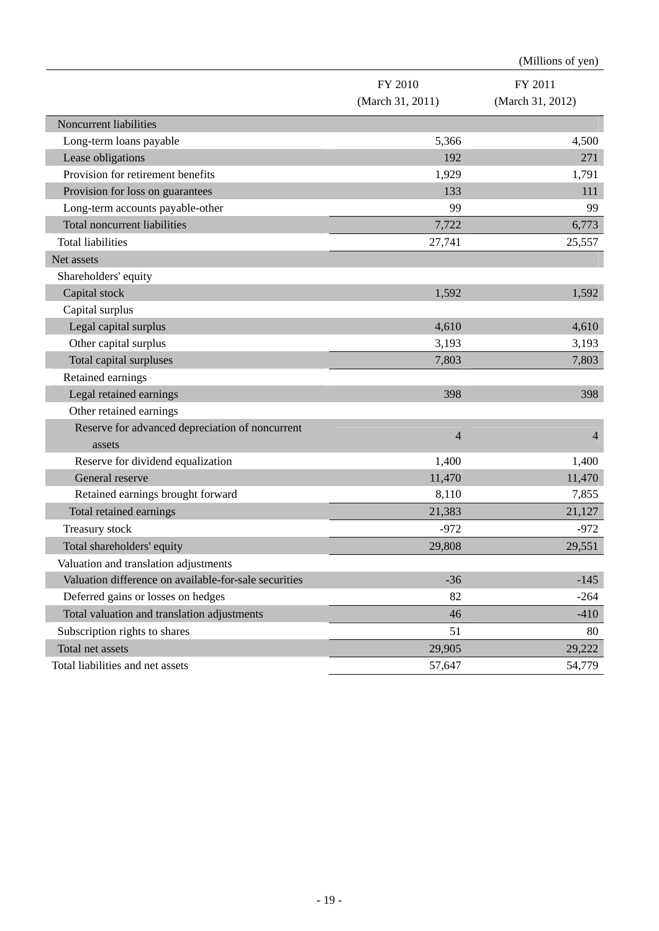|                                                       |                  | (Millions of yen) |
|-------------------------------------------------------|------------------|-------------------|
|                                                       | FY 2010          | FY 2011           |
|                                                       | (March 31, 2011) | (March 31, 2012)  |
| Noncurrent liabilities                                |                  |                   |
| Long-term loans payable                               | 5,366            | 4,500             |
| Lease obligations                                     | 192              | 271               |
| Provision for retirement benefits                     | 1,929            | 1,791             |
| Provision for loss on guarantees                      | 133              | 111               |
| Long-term accounts payable-other                      | 99               | 99                |
| <b>Total noncurrent liabilities</b>                   | 7,722            | 6,773             |
| <b>Total liabilities</b>                              | 27,741           | 25,557            |
| Net assets                                            |                  |                   |
| Shareholders' equity                                  |                  |                   |
| Capital stock                                         | 1,592            | 1,592             |
| Capital surplus                                       |                  |                   |
| Legal capital surplus                                 | 4,610            | 4,610             |
| Other capital surplus                                 | 3,193            | 3,193             |
| Total capital surpluses                               | 7,803            | 7,803             |
| Retained earnings                                     |                  |                   |
| Legal retained earnings                               | 398              | 398               |
| Other retained earnings                               |                  |                   |
| Reserve for advanced depreciation of noncurrent       | $\overline{4}$   | $\overline{4}$    |
| assets                                                |                  |                   |
| Reserve for dividend equalization                     | 1,400            | 1,400             |
| General reserve                                       | 11,470           | 11,470            |
| Retained earnings brought forward                     | 8,110            | 7,855             |
| Total retained earnings                               | 21,383           | 21,127            |
| Treasury stock                                        | $-972$           | $-972$            |
| Total shareholders' equity                            | 29,808           | 29,551            |
| Valuation and translation adjustments                 |                  |                   |
| Valuation difference on available-for-sale securities | $-36$            | $-145$            |
| Deferred gains or losses on hedges                    | 82               | $-264$            |
| Total valuation and translation adjustments           | 46               | $-410$            |
| Subscription rights to shares                         | 51               | 80                |
| Total net assets                                      | 29,905           | 29,222            |
| Total liabilities and net assets                      | 57,647           | 54,779            |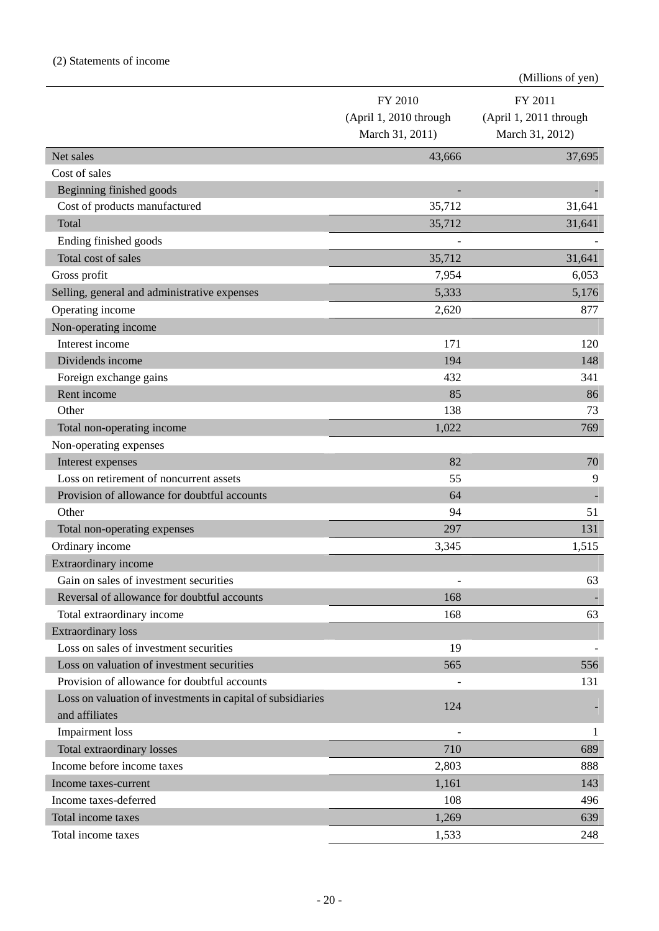|                                                                               |                                                      | (Millions of yen)                                    |
|-------------------------------------------------------------------------------|------------------------------------------------------|------------------------------------------------------|
|                                                                               | FY 2010<br>(April 1, 2010 through<br>March 31, 2011) | FY 2011<br>(April 1, 2011 through<br>March 31, 2012) |
| Net sales                                                                     | 43,666                                               | 37,695                                               |
| Cost of sales                                                                 |                                                      |                                                      |
| Beginning finished goods                                                      |                                                      |                                                      |
| Cost of products manufactured                                                 | 35,712                                               | 31,641                                               |
| Total                                                                         | 35,712                                               | 31,641                                               |
| Ending finished goods                                                         |                                                      |                                                      |
| Total cost of sales                                                           | 35,712                                               | 31,641                                               |
| Gross profit                                                                  | 7,954                                                | 6,053                                                |
| Selling, general and administrative expenses                                  | 5,333                                                | 5,176                                                |
| Operating income                                                              | 2,620                                                | 877                                                  |
| Non-operating income                                                          |                                                      |                                                      |
| Interest income                                                               | 171                                                  | 120                                                  |
| Dividends income                                                              | 194                                                  | 148                                                  |
| Foreign exchange gains                                                        | 432                                                  | 341                                                  |
| Rent income                                                                   | 85                                                   | 86                                                   |
| Other                                                                         | 138                                                  | 73                                                   |
| Total non-operating income                                                    | 1,022                                                | 769                                                  |
| Non-operating expenses                                                        |                                                      |                                                      |
| Interest expenses                                                             | 82                                                   | 70                                                   |
| Loss on retirement of noncurrent assets                                       | 55                                                   | 9                                                    |
| Provision of allowance for doubtful accounts                                  | 64                                                   |                                                      |
| Other                                                                         | 94                                                   | 51                                                   |
| Total non-operating expenses                                                  | 297                                                  | 131                                                  |
| Ordinary income                                                               | 3,345                                                | 1,515                                                |
| <b>Extraordinary income</b>                                                   |                                                      |                                                      |
| Gain on sales of investment securities                                        |                                                      | 63                                                   |
| Reversal of allowance for doubtful accounts                                   | 168                                                  |                                                      |
| Total extraordinary income                                                    | 168                                                  | 63                                                   |
| <b>Extraordinary loss</b>                                                     |                                                      |                                                      |
| Loss on sales of investment securities                                        | 19                                                   |                                                      |
| Loss on valuation of investment securities                                    | 565                                                  | 556                                                  |
| Provision of allowance for doubtful accounts                                  |                                                      | 131                                                  |
| Loss on valuation of investments in capital of subsidiaries<br>and affiliates | 124                                                  |                                                      |
| <b>Impairment</b> loss                                                        |                                                      | 1                                                    |
| Total extraordinary losses                                                    | 710                                                  | 689                                                  |
| Income before income taxes                                                    | 2,803                                                | 888                                                  |
| Income taxes-current                                                          | 1,161                                                | 143                                                  |
| Income taxes-deferred                                                         | 108                                                  | 496                                                  |
| Total income taxes                                                            | 1,269                                                | 639                                                  |
| Total income taxes                                                            | 1,533                                                | 248                                                  |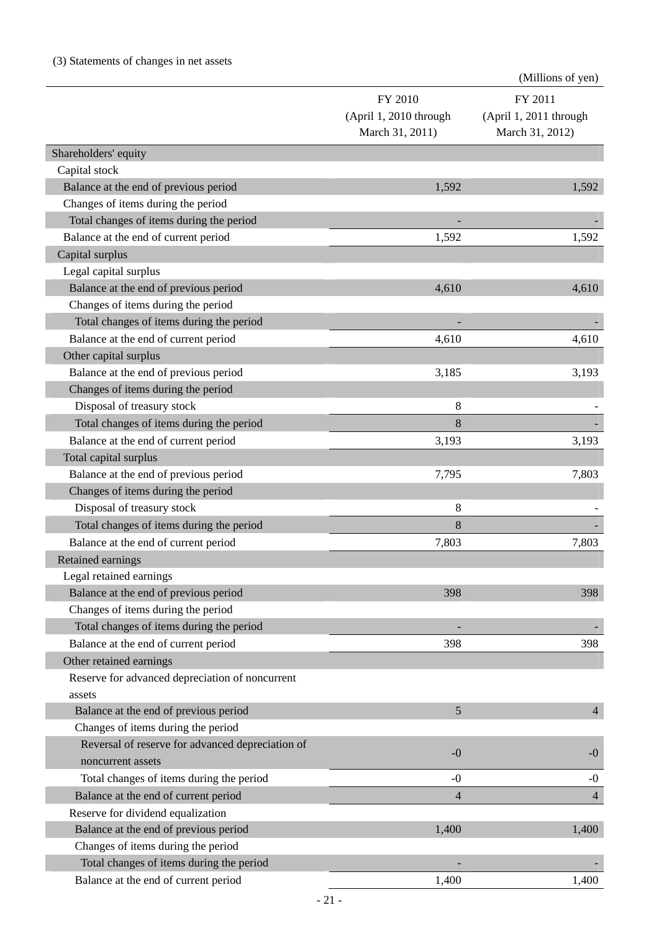## (3) Statements of changes in net assets

|                                                  |                        | (Millions of yen)      |
|--------------------------------------------------|------------------------|------------------------|
|                                                  | FY 2010                | FY 2011                |
|                                                  | (April 1, 2010 through | (April 1, 2011 through |
|                                                  | March 31, 2011)        | March 31, 2012)        |
| Shareholders' equity                             |                        |                        |
| Capital stock                                    |                        |                        |
| Balance at the end of previous period            | 1,592                  | 1,592                  |
| Changes of items during the period               |                        |                        |
| Total changes of items during the period         |                        |                        |
| Balance at the end of current period             | 1,592                  | 1,592                  |
| Capital surplus                                  |                        |                        |
| Legal capital surplus                            |                        |                        |
| Balance at the end of previous period            | 4,610                  | 4,610                  |
| Changes of items during the period               |                        |                        |
| Total changes of items during the period         |                        |                        |
| Balance at the end of current period             | 4,610                  | 4,610                  |
| Other capital surplus                            |                        |                        |
| Balance at the end of previous period            | 3,185                  | 3,193                  |
| Changes of items during the period               |                        |                        |
| Disposal of treasury stock                       | 8                      |                        |
| Total changes of items during the period         | 8                      |                        |
| Balance at the end of current period             | 3,193                  | 3,193                  |
| Total capital surplus                            |                        |                        |
| Balance at the end of previous period            | 7,795                  | 7,803                  |
| Changes of items during the period               |                        |                        |
| Disposal of treasury stock                       | 8                      |                        |
| Total changes of items during the period         | 8                      |                        |
| Balance at the end of current period             | 7,803                  | 7,803                  |
| <b>Retained earnings</b>                         |                        |                        |
| Legal retained earnings                          |                        |                        |
| Balance at the end of previous period            | 398                    | 398                    |
| Changes of items during the period               |                        |                        |
| Total changes of items during the period         |                        |                        |
| Balance at the end of current period             | 398                    | 398                    |
| Other retained earnings                          |                        |                        |
| Reserve for advanced depreciation of noncurrent  |                        |                        |
| assets                                           |                        |                        |
| Balance at the end of previous period            | 5                      | $\overline{4}$         |
| Changes of items during the period               |                        |                        |
| Reversal of reserve for advanced depreciation of |                        |                        |
| noncurrent assets                                | $-0$                   | $-0$                   |
| Total changes of items during the period         | $-0$                   | $-0$                   |
| Balance at the end of current period             | $\overline{4}$         | $\overline{4}$         |
| Reserve for dividend equalization                |                        |                        |
| Balance at the end of previous period            | 1,400                  | 1,400                  |
| Changes of items during the period               |                        |                        |
| Total changes of items during the period         |                        |                        |
| Balance at the end of current period             | 1,400                  | 1,400                  |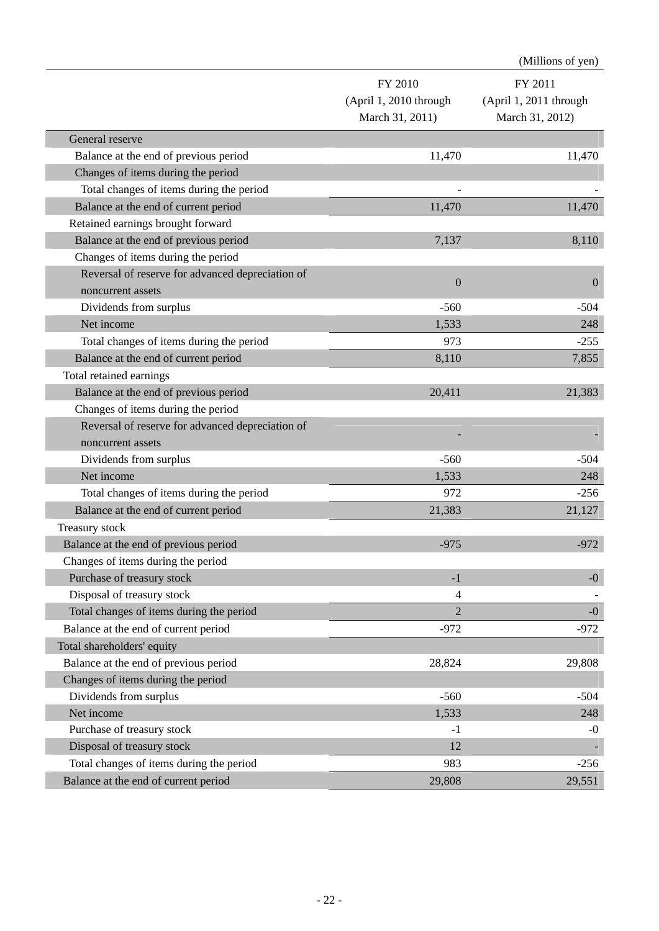|                                                  |                        | (Millions of yen)      |
|--------------------------------------------------|------------------------|------------------------|
|                                                  | FY 2010                | FY 2011                |
|                                                  | (April 1, 2010 through | (April 1, 2011 through |
|                                                  | March 31, 2011)        | March 31, 2012)        |
| General reserve                                  |                        |                        |
| Balance at the end of previous period            | 11,470                 | 11,470                 |
| Changes of items during the period               |                        |                        |
| Total changes of items during the period         |                        |                        |
| Balance at the end of current period             | 11,470                 | 11,470                 |
| Retained earnings brought forward                |                        |                        |
| Balance at the end of previous period            | 7,137                  | 8,110                  |
| Changes of items during the period               |                        |                        |
| Reversal of reserve for advanced depreciation of |                        |                        |
| noncurrent assets                                | $\boldsymbol{0}$       | $\overline{0}$         |
| Dividends from surplus                           | $-560$                 | $-504$                 |
| Net income                                       | 1,533                  | 248                    |
| Total changes of items during the period         | 973                    | $-255$                 |
| Balance at the end of current period             | 8,110                  | 7,855                  |
| Total retained earnings                          |                        |                        |
| Balance at the end of previous period            | 20,411                 | 21,383                 |
| Changes of items during the period               |                        |                        |
| Reversal of reserve for advanced depreciation of |                        |                        |
| noncurrent assets                                |                        |                        |
| Dividends from surplus                           | $-560$                 | $-504$                 |
| Net income                                       | 1,533                  | 248                    |
| Total changes of items during the period         | 972                    | $-256$                 |
| Balance at the end of current period             | 21,383                 | 21,127                 |
| Treasury stock                                   |                        |                        |
| Balance at the end of previous period            | $-975$                 | $-972$                 |
| Changes of items during the period               |                        |                        |
| Purchase of treasury stock                       | $-1$                   | $-0$                   |
| Disposal of treasury stock                       | $\overline{4}$         |                        |
| Total changes of items during the period         | $\overline{2}$         | $-0$                   |
| Balance at the end of current period             | $-972$                 | $-972$                 |
| Total shareholders' equity                       |                        |                        |
| Balance at the end of previous period            | 28,824                 | 29,808                 |
| Changes of items during the period               |                        |                        |
| Dividends from surplus                           | $-560$                 | $-504$                 |
| Net income                                       | 1,533                  | 248                    |
| Purchase of treasury stock                       | $-1$                   | $-0$                   |
| Disposal of treasury stock                       | 12                     |                        |
| Total changes of items during the period         | 983                    | $-256$                 |
| Balance at the end of current period             | 29,808                 | 29,551                 |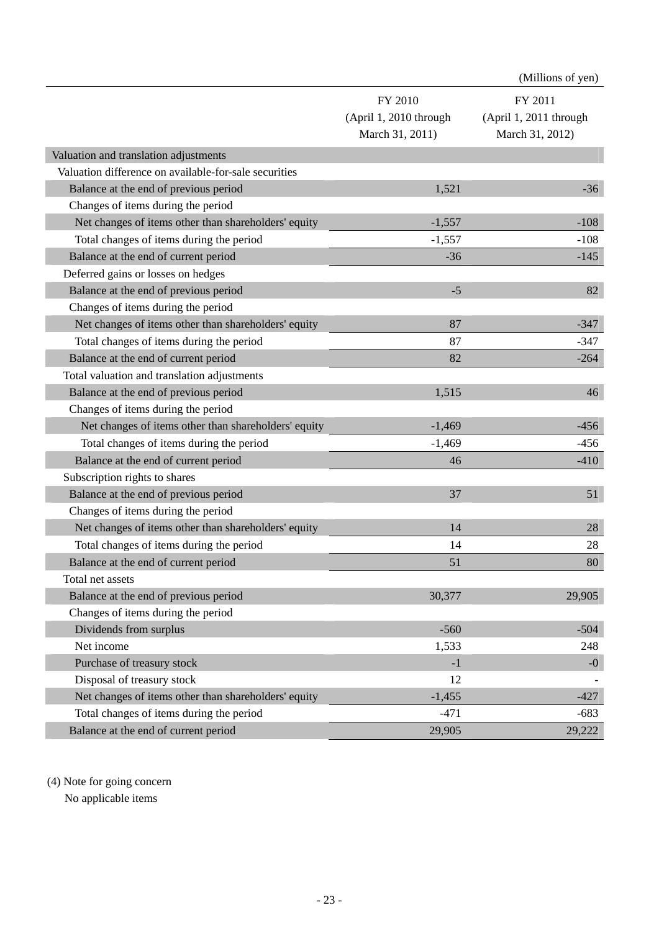|                                                       |                                                      | (Millions of yen)                                    |
|-------------------------------------------------------|------------------------------------------------------|------------------------------------------------------|
|                                                       | FY 2010<br>(April 1, 2010 through<br>March 31, 2011) | FY 2011<br>(April 1, 2011 through<br>March 31, 2012) |
| Valuation and translation adjustments                 |                                                      |                                                      |
| Valuation difference on available-for-sale securities |                                                      |                                                      |
| Balance at the end of previous period                 | 1,521                                                | $-36$                                                |
| Changes of items during the period                    |                                                      |                                                      |
| Net changes of items other than shareholders' equity  | $-1,557$                                             | $-108$                                               |
| Total changes of items during the period              | $-1,557$                                             | $-108$                                               |
| Balance at the end of current period                  | $-36$                                                | $-145$                                               |
| Deferred gains or losses on hedges                    |                                                      |                                                      |
| Balance at the end of previous period                 | $-5$                                                 | 82                                                   |
| Changes of items during the period                    |                                                      |                                                      |
| Net changes of items other than shareholders' equity  | 87                                                   | $-347$                                               |
| Total changes of items during the period              | 87                                                   | $-347$                                               |
| Balance at the end of current period                  | 82                                                   | $-264$                                               |
| Total valuation and translation adjustments           |                                                      |                                                      |
| Balance at the end of previous period                 | 1,515                                                | 46                                                   |
| Changes of items during the period                    |                                                      |                                                      |
| Net changes of items other than shareholders' equity  | $-1,469$                                             | $-456$                                               |
| Total changes of items during the period              | $-1,469$                                             | $-456$                                               |
| Balance at the end of current period                  | 46                                                   | $-410$                                               |
| Subscription rights to shares                         |                                                      |                                                      |
| Balance at the end of previous period                 | 37                                                   | 51                                                   |
| Changes of items during the period                    |                                                      |                                                      |
| Net changes of items other than shareholders' equity  | 14                                                   | 28                                                   |
| Total changes of items during the period              | 14                                                   | 28                                                   |
| Balance at the end of current period                  | 51                                                   | 80                                                   |
| Total net assets                                      |                                                      |                                                      |
| Balance at the end of previous period                 | 30,377                                               | 29,905                                               |
| Changes of items during the period                    |                                                      |                                                      |
| Dividends from surplus                                | $-560$                                               | $-504$                                               |
| Net income                                            | 1,533                                                | 248                                                  |
| Purchase of treasury stock                            | $-1$                                                 | $-0$                                                 |
| Disposal of treasury stock                            | 12                                                   |                                                      |
| Net changes of items other than shareholders' equity  | $-1,455$                                             | $-427$                                               |
| Total changes of items during the period              | $-471$                                               | $-683$                                               |
| Balance at the end of current period                  | 29,905                                               | 29,222                                               |

(4) Note for going concern

No applicable items